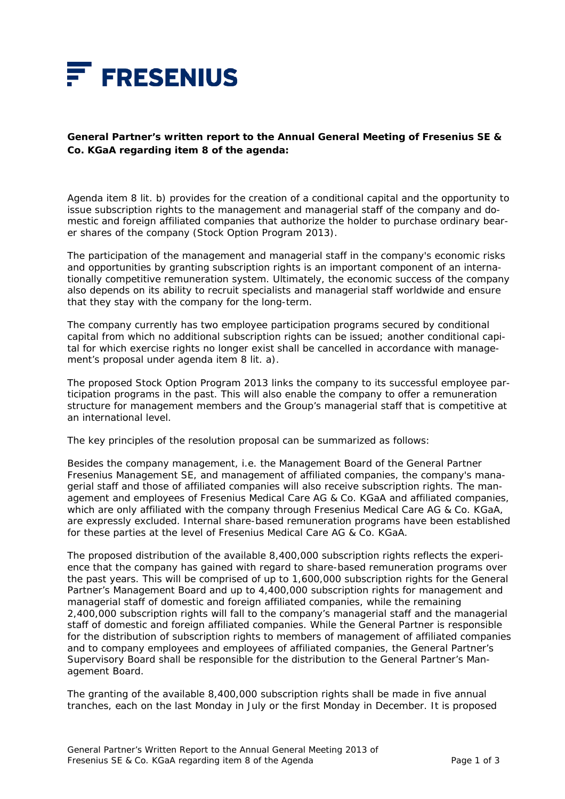

## **General Partner's written report to the Annual General Meeting of Fresenius SE & Co. KGaA regarding item 8 of the agenda:**

Agenda item 8 lit. b) provides for the creation of a conditional capital and the opportunity to issue subscription rights to the management and managerial staff of the company and domestic and foreign affiliated companies that authorize the holder to purchase ordinary bearer shares of the company (Stock Option Program 2013).

The participation of the management and managerial staff in the company's economic risks and opportunities by granting subscription rights is an important component of an internationally competitive remuneration system. Ultimately, the economic success of the company also depends on its ability to recruit specialists and managerial staff worldwide and ensure that they stay with the company for the long-term.

The company currently has two employee participation programs secured by conditional capital from which no additional subscription rights can be issued; another conditional capital for which exercise rights no longer exist shall be cancelled in accordance with management's proposal under agenda item 8 lit. a).

The proposed Stock Option Program 2013 links the company to its successful employee participation programs in the past. This will also enable the company to offer a remuneration structure for management members and the Group's managerial staff that is competitive at an international level.

The key principles of the resolution proposal can be summarized as follows:

Besides the company management, i.e. the Management Board of the General Partner Fresenius Management SE, and management of affiliated companies, the company's managerial staff and those of affiliated companies will also receive subscription rights. The management and employees of Fresenius Medical Care AG & Co. KGaA and affiliated companies, which are only affiliated with the company through Fresenius Medical Care AG & Co. KGaA, are expressly excluded. Internal share-based remuneration programs have been established for these parties at the level of Fresenius Medical Care AG & Co. KGaA.

The proposed distribution of the available 8,400,000 subscription rights reflects the experience that the company has gained with regard to share-based remuneration programs over the past years. This will be comprised of up to 1,600,000 subscription rights for the General Partner's Management Board and up to 4,400,000 subscription rights for management and managerial staff of domestic and foreign affiliated companies, while the remaining 2,400,000 subscription rights will fall to the company's managerial staff and the managerial staff of domestic and foreign affiliated companies. While the General Partner is responsible for the distribution of subscription rights to members of management of affiliated companies and to company employees and employees of affiliated companies, the General Partner's Supervisory Board shall be responsible for the distribution to the General Partner's Management Board.

The granting of the available 8,400,000 subscription rights shall be made in five annual tranches, each on the last Monday in July or the first Monday in December. It is proposed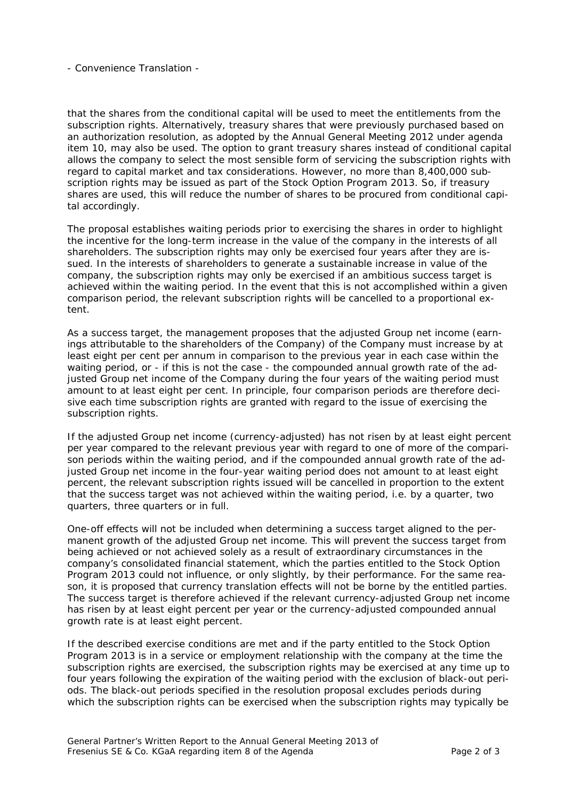- Convenience Translation -

that the shares from the conditional capital will be used to meet the entitlements from the subscription rights. Alternatively, treasury shares that were previously purchased based on an authorization resolution, as adopted by the Annual General Meeting 2012 under agenda item 10, may also be used. The option to grant treasury shares instead of conditional capital allows the company to select the most sensible form of servicing the subscription rights with regard to capital market and tax considerations. However, no more than 8,400,000 subscription rights may be issued as part of the Stock Option Program 2013. So, if treasury shares are used, this will reduce the number of shares to be procured from conditional capital accordingly.

The proposal establishes waiting periods prior to exercising the shares in order to highlight the incentive for the long-term increase in the value of the company in the interests of all shareholders. The subscription rights may only be exercised four years after they are issued. In the interests of shareholders to generate a sustainable increase in value of the company, the subscription rights may only be exercised if an ambitious success target is achieved within the waiting period. In the event that this is not accomplished within a given comparison period, the relevant subscription rights will be cancelled to a proportional extent.

As a success target, the management proposes that the adjusted Group net income (earnings attributable to the shareholders of the Company) of the Company must increase by at least eight per cent per annum in comparison to the previous year in each case within the waiting period, or - if this is not the case - the compounded annual growth rate of the adjusted Group net income of the Company during the four years of the waiting period must amount to at least eight per cent. In principle, four comparison periods are therefore decisive each time subscription rights are granted with regard to the issue of exercising the subscription rights.

If the adjusted Group net income (currency-adjusted) has not risen by at least eight percent per year compared to the relevant previous year with regard to one of more of the comparison periods within the waiting period, and if the compounded annual growth rate of the adjusted Group net income in the four-year waiting period does not amount to at least eight percent, the relevant subscription rights issued will be cancelled in proportion to the extent that the success target was not achieved within the waiting period, i.e. by a quarter, two quarters, three quarters or in full.

One-off effects will not be included when determining a success target aligned to the permanent growth of the adjusted Group net income. This will prevent the success target from being achieved or not achieved solely as a result of extraordinary circumstances in the company's consolidated financial statement, which the parties entitled to the Stock Option Program 2013 could not influence, or only slightly, by their performance. For the same reason, it is proposed that currency translation effects will not be borne by the entitled parties. The success target is therefore achieved if the relevant currency-adjusted Group net income has risen by at least eight percent per year or the currency-adjusted compounded annual growth rate is at least eight percent.

If the described exercise conditions are met and if the party entitled to the Stock Option Program 2013 is in a service or employment relationship with the company at the time the subscription rights are exercised, the subscription rights may be exercised at any time up to four years following the expiration of the waiting period with the exclusion of black-out periods. The black-out periods specified in the resolution proposal excludes periods during which the subscription rights can be exercised when the subscription rights may typically be